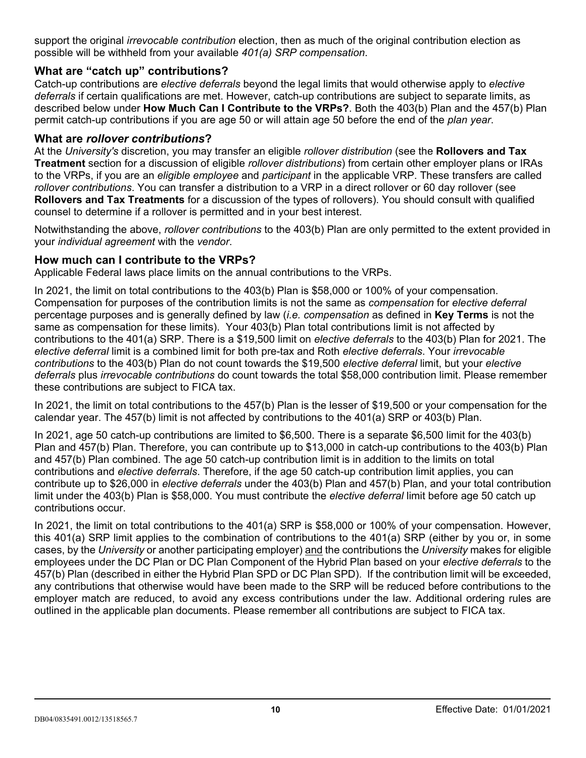support the original *irrevocable contribution* election, then as much of the original contribution election as possible will be withheld from your available *401(a) SRP compensation*.

### **What are "catch up" contributions?**

Catch-up contributions are *elective deferrals* beyond the legal limits that would otherwise apply to *elective deferrals* if certain qualifications are met. However, catch-up contributions are subject to separate limits, as described below under **How Much Can I Contribute to the VRPs?**. Both the 403(b) Plan and the 457(b) Plan permit catch-up contributions if you are age 50 or will attain age 50 before the end of the *plan year*.

### **What are** *rollover contributions***?**

At the *University's* discretion, you may transfer an eligible *rollover distribution* (see the **Rollovers and Tax Treatment** section for a discussion of eligible *rollover distributions*) from certain other employer plans or IRAs to the VRPs, if you are an *eligible employee* and *participant* in the applicable VRP. These transfers are called *rollover contributions*. You can transfer a distribution to a VRP in a direct rollover or 60 day rollover (see **Rollovers and Tax Treatments** for a discussion of the types of rollovers). You should consult with qualified counsel to determine if a rollover is permitted and in your best interest.

Notwithstanding the above, *rollover contributions* to the 403(b) Plan are only permitted to the extent provided in your *individual agreement* with the *vendor*.

### **How much can I contribute to the VRPs?**

Applicable Federal laws place limits on the annual contributions to the VRPs.

In 2022, the limit on total contributions to the 403(b) Plan is \$61,000 or 100% of your compensation. Compensation for purposes of the contribution limits is not the same as *compensation* for *elective deferral* percentage purposes and is generally defined by law (*i.e. compensation* as defined in **Key Terms** is not the same as compensation for these limits). Your 403(b) Plan total contributions limit is not affected by contributions to the 401(a) SRP. There is a \$20,500 limit on *elective deferrals* to the 403(b) Plan for 2022. The *elective deferral* limit is a combined limit for both pre-tax and Roth *elective deferrals*. Your *irrevocable contributions* to the 403(b) Plan do not count towards the \$20500 *elective deferral* limit, but your *elective deferrals* plus *irrevocable contributions* do count towards the total \$61,000 contribution limit. Please remember these contributions are subject to FICA tax.

In 2022, the limit on total contributions to the 457(b) Plan is the lesser of \$20,500 or your compensation for the calendar year. The 457(b) limit is not affected by contributions to the 401(a) SRP or 403(b) Plan.

In 2022, age 50 catch-up contributions are limited to \$6,500. There is a separate \$6,500 limit for the 403(b) Plan and 457(b) Plan. Therefore, you can contribute up to \$13,000 in catch-up contributions to the 403(b) Plan and 457(b) Plan combined. The age 50 catch-up contribution limit is in addition to the limits on total contributions and *elective deferrals*. Therefore, if the age 50 catch-up contribution limit applies, you can contribute up to \$27,000 in *elective deferrals* under the 403(b) Plan and 457(b) Plan, and your total contribution limit under the 403(b) Plan is \$61,000. You must contribute the *elective deferral* limit before age 50 catch up contributions occur.

In 2022, the limit on total contributions to the 401(a) SRP is \$61,000 or 100% of your compensation. However, this 401(a) SRP limit applies to the combination of contributions to the 401(a) SRP (either by you or, in some cases, by the *University* or another participating employer) and the contributions the *University* makes for eligible employees under the DC Plan or DC Plan Component of the Hybrid Plan based on your *elective deferrals* to the 457(b) Plan (described in either the Hybrid Plan SPD or DC Plan SPD). If the contribution limit will be exceeded, any contributions that otherwise would have been made to the SRP will be reduced before contributions to the employer match are reduced, to avoid any excess contributions under the law. Additional ordering rules are outlined in the applicable plan documents. Please remember all contributions are subject to FICA tax.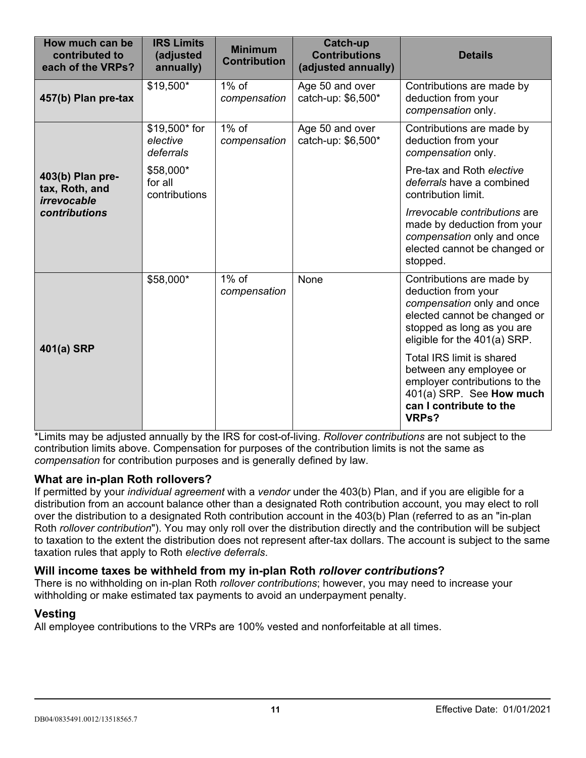| How much can be<br>contributed to<br>each of the VRPs?             | <b>IRS Limits</b><br>(adjusted<br>annually) | <b>Minimum</b><br><b>Contribution</b> | <b>Catch-up</b><br><b>Contributions</b><br>(adjusted annually) | <b>Details</b>                                                                                                                                                               |
|--------------------------------------------------------------------|---------------------------------------------|---------------------------------------|----------------------------------------------------------------|------------------------------------------------------------------------------------------------------------------------------------------------------------------------------|
| 457(b) Plan pre-tax                                                | \$20,500*                                   | $1\%$ of<br>compensation              | Age 50 and over<br>catch-up: \$6,500*                          | Contributions are made by<br>deduction from your<br>compensation only.                                                                                                       |
| 403(b) Plan pre-<br>tax, Roth, and<br>irrevocable<br>contributions | \$20,500* for<br>elective<br>deferrals      | $1\%$ of<br>compensation              | Age 50 and over<br>catch-up: \$6,500*                          | Contributions are made by<br>deduction from your<br>compensation only.                                                                                                       |
|                                                                    | \$61,000*<br>for all<br>contributions       |                                       |                                                                | Pre-tax and Roth elective<br>deferrals have a combined<br>contribution limit.                                                                                                |
|                                                                    |                                             |                                       |                                                                | Irrevocable contributions are<br>made by deduction from your<br>compensation only and once<br>elected cannot be changed or<br>stopped.                                       |
| 401(a) SRP                                                         | \$61,000*                                   | $1\%$ of<br>compensation              | None                                                           | Contributions are made by<br>deduction from your<br>compensation only and once<br>elected cannot be changed or<br>stopped as long as you are<br>eligible for the 401(a) SRP. |
|                                                                    |                                             |                                       |                                                                | Total IRS limit is shared<br>between any employee or<br>employer contributions to the<br>401(a) SRP. See How much<br>can I contribute to the<br>VRPs?                        |

\*Limits may be adjusted annually by the IRS for cost-of-living. *Rollover contributions* are not subject to the contribution limits above. Compensation for purposes of the contribution limits is not the same as *compensation* for contribution purposes and is generally defined by law.

## **What are in-plan Roth rollovers?**

If permitted by your *individual agreement* with a *vendor* under the 403(b) Plan, and if you are eligible for a distribution from an account balance other than a designated Roth contribution account, you may elect to roll over the distribution to a designated Roth contribution account in the 403(b) Plan (referred to as an "in-plan Roth *rollover contribution*"). You may only roll over the distribution directly and the contribution will be subject to taxation to the extent the distribution does not represent after-tax dollars. The account is subject to the same taxation rules that apply to Roth *elective deferrals*.

## **Will income taxes be withheld from my in-plan Roth** *rollover contributions***?**

There is no withholding on in-plan Roth *rollover contributions*; however, you may need to increase your withholding or make estimated tax payments to avoid an underpayment penalty.

### **Vesting**

All employee contributions to the VRPs are 100% vested and nonforfeitable at all times.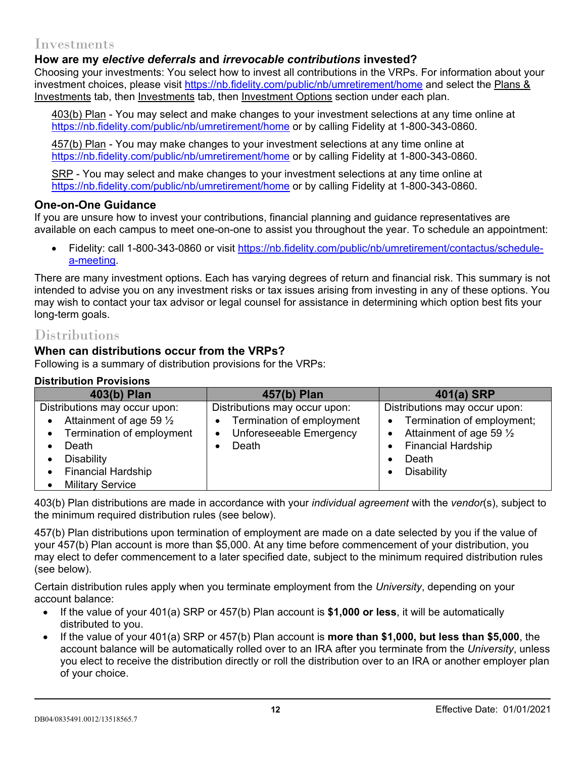## Investments

## **How are my** *elective deferrals* **and** *irrevocable contributions* **invested?**

Choosing your investments: You select how to invest all contributions in the VRPs. For information about your investment choices, please visit<https://nb.fidelity.com/public/nb/umretirement/home> and select the Plans & Investments tab, then Investments tab, then Investment Options section under each plan.

403(b) Plan - You may select and make changes to your investment selections at any time online at <https://nb.fidelity.com/public/nb/umretirement/home> or by calling Fidelity at 1-800-343-0860.

457(b) Plan - You may make changes to your investment selections at any time online at <https://nb.fidelity.com/public/nb/umretirement/home> or by calling Fidelity at 1-800-343-0860.

SRP - You may select and make changes to your investment selections at any time online at <https://nb.fidelity.com/public/nb/umretirement/home> or by calling Fidelity at 1-800-343-0860.

#### **One-on-One Guidance**

If you are unsure how to invest your contributions, financial planning and guidance representatives are available on each campus to meet one-on-one to assist you throughout the year. To schedule an appointment:

• Fidelity: call 1-800-343-0860 or visit [https://nb.fidelity.com/public/nb/umretirement/contactus/schedule](https://nb.fidelity.com/public/nb/umretirement/contactus/schedule-a-meeting)[a-meeting.](https://nb.fidelity.com/public/nb/umretirement/contactus/schedule-a-meeting)

There are many investment options. Each has varying degrees of return and financial risk. This summary is not intended to advise you on any investment risks or tax issues arising from investing in any of these options. You may wish to contact your tax advisor or legal counsel for assistance in determining which option best fits your long-term goals.

# **Distributions**

### **When can distributions occur from the VRPs?**

Following is a summary of distribution provisions for the VRPs:

### **Distribution Provisions**

| 403(b) Plan                                                                                                                                                              | 457(b) Plan                                                                                                              | 401(a) SRP                                                                                                                                                                             |
|--------------------------------------------------------------------------------------------------------------------------------------------------------------------------|--------------------------------------------------------------------------------------------------------------------------|----------------------------------------------------------------------------------------------------------------------------------------------------------------------------------------|
| Distributions may occur upon:<br>Attainment of age 59 $\frac{1}{2}$<br>Termination of employment<br>$\bullet$<br>Death<br><b>Disability</b><br><b>Financial Hardship</b> | Distributions may occur upon:<br>Termination of employment<br>$\bullet$<br>Unforeseeable Emergency<br>$\bullet$<br>Death | Distributions may occur upon:<br>Termination of employment;<br>$\bullet$<br>Attainment of age 59 $\frac{1}{2}$<br>$\bullet$<br><b>Financial Hardship</b><br>Death<br><b>Disability</b> |
| <b>Military Service</b>                                                                                                                                                  |                                                                                                                          |                                                                                                                                                                                        |

403(b) Plan distributions are made in accordance with your *individual agreement* with the *vendor*(s), subject to the minimum required distribution rules (see below).

457(b) Plan distributions upon termination of employment are made on a date selected by you if the value of your 457(b) Plan account is more than \$5,000. At any time before commencement of your distribution, you may elect to defer commencement to a later specified date, subject to the minimum required distribution rules (see below).

Certain distribution rules apply when you terminate employment from the *University*, depending on your account balance:

- If the value of your 401(a) SRP or 457(b) Plan account is **\$1,000 or less**, it will be automatically distributed to you.
- If the value of your 401(a) SRP or 457(b) Plan account is **more than \$1,000, but less than \$5,000**, the account balance will be automatically rolled over to an IRA after you terminate from the *University*, unless you elect to receive the distribution directly or roll the distribution over to an IRA or another employer plan of your choice.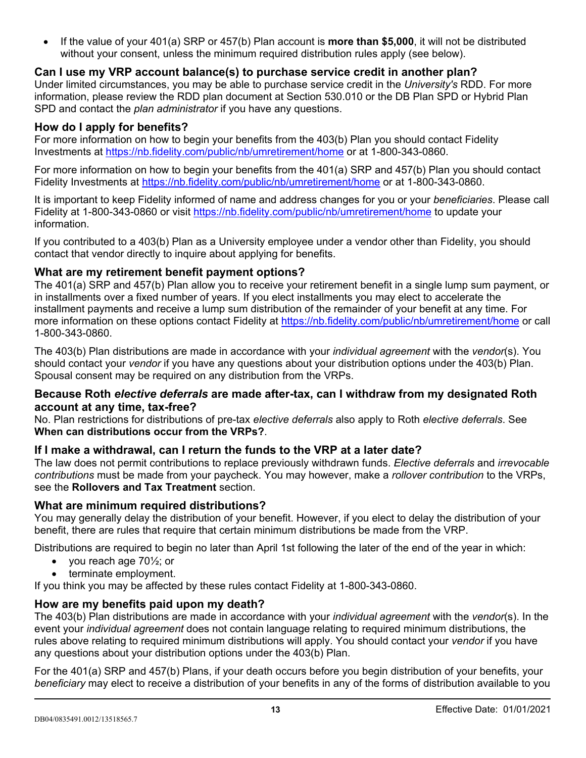• If the value of your 401(a) SRP or 457(b) Plan account is **more than \$5,000**, it will not be distributed without your consent, unless the minimum required distribution rules apply (see below).

## **Can I use my VRP account balance(s) to purchase service credit in another plan?**

Under limited circumstances, you may be able to purchase service credit in the *University's* RDD. For more information, please review the RDD plan document at Section 530.010 or the DB Plan SPD or Hybrid Plan SPD and contact the *plan administrator* if you have any questions.

### **How do I apply for benefits?**

For more information on how to begin your benefits from the 403(b) Plan you should contact Fidelity Investments at <https://nb.fidelity.com/public/nb/umretirement/home> or at 1-800-343-0860.

For more information on how to begin your benefits from the 401(a) SRP and 457(b) Plan you should contact Fidelity Investments at <https://nb.fidelity.com/public/nb/umretirement/home> or at 1-800-343-0860.

It is important to keep Fidelity informed of name and address changes for you or your *beneficiaries*. Please call Fidelity at 1-800-343-0860 or visit<https://nb.fidelity.com/public/nb/umretirement/home> to update your information.

If you contributed to a 403(b) Plan as a University employee under a vendor other than Fidelity, you should contact that vendor directly to inquire about applying for benefits.

### **What are my retirement benefit payment options?**

The 401(a) SRP and 457(b) Plan allow you to receive your retirement benefit in a single lump sum payment, or in installments over a fixed number of years. If you elect installments you may elect to accelerate the installment payments and receive a lump sum distribution of the remainder of your benefit at any time. For more information on these options contact Fidelity at<https://nb.fidelity.com/public/nb/umretirement/home> or call 1-800-343-0860.

The 403(b) Plan distributions are made in accordance with your *individual agreement* with the *vendor*(s). You should contact your *vendor* if you have any questions about your distribution options under the 403(b) Plan. Spousal consent may be required on any distribution from the VRPs.

### **Because Roth** *elective deferrals* **are made after-tax, can I withdraw from my designated Roth account at any time, tax-free?**

No. Plan restrictions for distributions of pre-tax *elective deferrals* also apply to Roth *elective deferrals*. See **When can distributions occur from the VRPs?**.

## **If I make a withdrawal, can I return the funds to the VRP at a later date?**

The law does not permit contributions to replace previously withdrawn funds. *Elective deferrals* and *irrevocable contributions* must be made from your paycheck. You may however, make a *rollover contribution* to the VRPs, see the **Rollovers and Tax Treatment** section.

### **What are minimum required distributions?**

You may generally delay the distribution of your benefit. However, if you elect to delay the distribution of your benefit, there are rules that require that certain minimum distributions be made from the VRP.

Distributions are required to begin no later than April 1st following the later of the end of the year in which:

- you reach age  $70\frac{1}{2}$ ; or
- terminate employment.

If you think you may be affected by these rules contact Fidelity at 1-800-343-0860.

## **How are my benefits paid upon my death?**

The 403(b) Plan distributions are made in accordance with your *individual agreement* with the *vendor*(s). In the event your *individual agreement* does not contain language relating to required minimum distributions, the rules above relating to required minimum distributions will apply. You should contact your *vendor* if you have any questions about your distribution options under the 403(b) Plan.

For the 401(a) SRP and 457(b) Plans, if your death occurs before you begin distribution of your benefits, your *beneficiary* may elect to receive a distribution of your benefits in any of the forms of distribution available to you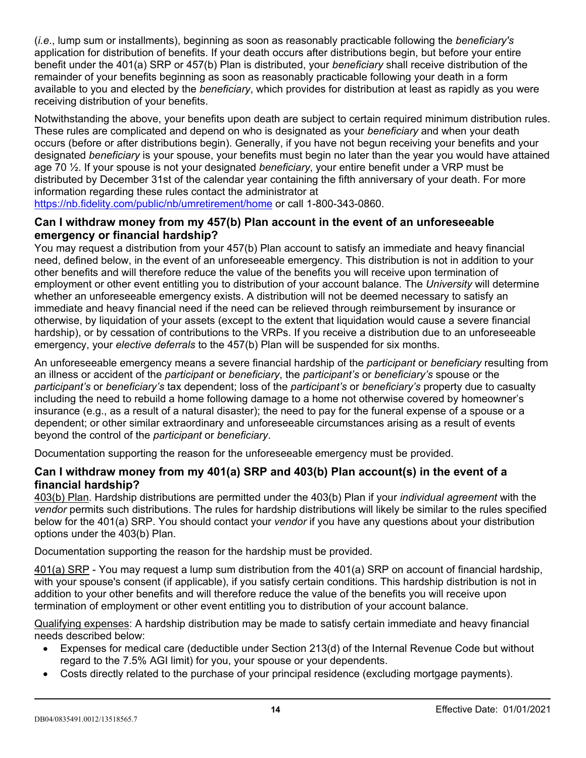(*i.e*., lump sum or installments), beginning as soon as reasonably practicable following the *beneficiary's* application for distribution of benefits. If your death occurs after distributions begin, but before your entire benefit under the 401(a) SRP or 457(b) Plan is distributed, your *beneficiary* shall receive distribution of the remainder of your benefits beginning as soon as reasonably practicable following your death in a form available to you and elected by the *beneficiary*, which provides for distribution at least as rapidly as you were receiving distribution of your benefits.

Notwithstanding the above, your benefits upon death are subject to certain required minimum distribution rules. These rules are complicated and depend on who is designated as your *beneficiary* and when your death occurs (before or after distributions begin). Generally, if you have not begun receiving your benefits and your designated *beneficiary* is your spouse, your benefits must begin no later than the year you would have attained age 70 ½. If your spouse is not your designated *beneficiary*, your entire benefit under a VRP must be distributed by December 31st of the calendar year containing the fifth anniversary of your death. For more information regarding these rules contact the administrator at

<https://nb.fidelity.com/public/nb/umretirement/home> or call 1-800-343-0860.

### **Can I withdraw money from my 457(b) Plan account in the event of an unforeseeable emergency or financial hardship?**

You may request a distribution from your 457(b) Plan account to satisfy an immediate and heavy financial need, defined below, in the event of an unforeseeable emergency. This distribution is not in addition to your other benefits and will therefore reduce the value of the benefits you will receive upon termination of employment or other event entitling you to distribution of your account balance. The *University* will determine whether an unforeseeable emergency exists. A distribution will not be deemed necessary to satisfy an immediate and heavy financial need if the need can be relieved through reimbursement by insurance or otherwise, by liquidation of your assets (except to the extent that liquidation would cause a severe financial hardship), or by cessation of contributions to the VRPs. If you receive a distribution due to an unforeseeable emergency, your *elective deferrals* to the 457(b) Plan will be suspended for six months.

An unforeseeable emergency means a severe financial hardship of the *participant* or *beneficiary* resulting from an illness or accident of the *participant* or *beneficiary*, the *participant's* or *beneficiary's* spouse or the *participant's* or *beneficiary's* tax dependent; loss of the *participant's* or *beneficiary's* property due to casualty including the need to rebuild a home following damage to a home not otherwise covered by homeowner's insurance (e.g., as a result of a natural disaster); the need to pay for the funeral expense of a spouse or a dependent; or other similar extraordinary and unforeseeable circumstances arising as a result of events beyond the control of the *participant* or *beneficiary*.

Documentation supporting the reason for the unforeseeable emergency must be provided.

## **Can I withdraw money from my 401(a) SRP and 403(b) Plan account(s) in the event of a financial hardship?**

403(b) Plan. Hardship distributions are permitted under the 403(b) Plan if your *individual agreement* with the *vendor* permits such distributions. The rules for hardship distributions will likely be similar to the rules specified below for the 401(a) SRP. You should contact your *vendor* if you have any questions about your distribution options under the 403(b) Plan.

Documentation supporting the reason for the hardship must be provided.

401(a) SRP - You may request a lump sum distribution from the 401(a) SRP on account of financial hardship, with your spouse's consent (if applicable), if you satisfy certain conditions. This hardship distribution is not in addition to your other benefits and will therefore reduce the value of the benefits you will receive upon termination of employment or other event entitling you to distribution of your account balance.

Qualifying expenses: A hardship distribution may be made to satisfy certain immediate and heavy financial needs described below:

- Expenses for medical care (deductible under Section 213(d) of the Internal Revenue Code but without regard to the 7.5% AGI limit) for you, your spouse or your dependents.
- Costs directly related to the purchase of your principal residence (excluding mortgage payments).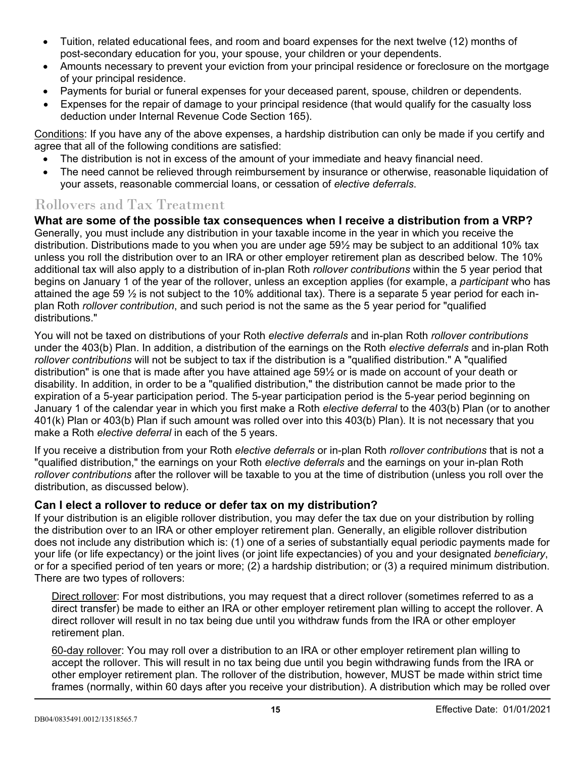- Tuition, related educational fees, and room and board expenses for the next twelve (12) months of post-secondary education for you, your spouse, your children or your dependents.
- Amounts necessary to prevent your eviction from your principal residence or foreclosure on the mortgage of your principal residence.
- Payments for burial or funeral expenses for your deceased parent, spouse, children or dependents.
- Expenses for the repair of damage to your principal residence (that would qualify for the casualty loss deduction under Internal Revenue Code Section 165).

Conditions: If you have any of the above expenses, a hardship distribution can only be made if you certify and agree that all of the following conditions are satisfied:

- The distribution is not in excess of the amount of your immediate and heavy financial need.
- The need cannot be relieved through reimbursement by insurance or otherwise, reasonable liquidation of your assets, reasonable commercial loans, or cessation of *elective deferrals*.

# Rollovers and Tax Treatment

**What are some of the possible tax consequences when I receive a distribution from a VRP?**  Generally, you must include any distribution in your taxable income in the year in which you receive the distribution. Distributions made to you when you are under age 59½ may be subject to an additional 10% tax unless you roll the distribution over to an IRA or other employer retirement plan as described below. The 10% additional tax will also apply to a distribution of in-plan Roth *rollover contributions* within the 5 year period that begins on January 1 of the year of the rollover, unless an exception applies (for example, a *participant* who has attained the age 59  $\frac{1}{2}$  is not subject to the 10% additional tax). There is a separate 5 year period for each inplan Roth *rollover contribution*, and such period is not the same as the 5 year period for "qualified distributions."

You will not be taxed on distributions of your Roth *elective deferrals* and in-plan Roth *rollover contributions* under the 403(b) Plan. In addition, a distribution of the earnings on the Roth *elective deferrals* and in-plan Roth *rollover contributions* will not be subject to tax if the distribution is a "qualified distribution." A "qualified distribution" is one that is made after you have attained age 59½ or is made on account of your death or disability. In addition, in order to be a "qualified distribution," the distribution cannot be made prior to the expiration of a 5-year participation period. The 5-year participation period is the 5-year period beginning on January 1 of the calendar year in which you first make a Roth *elective deferral* to the 403(b) Plan (or to another 401(k) Plan or 403(b) Plan if such amount was rolled over into this 403(b) Plan). It is not necessary that you make a Roth *elective deferral* in each of the 5 years.

If you receive a distribution from your Roth *elective deferrals* or in-plan Roth *rollover contributions* that is not a "qualified distribution," the earnings on your Roth *elective deferrals* and the earnings on your in-plan Roth *rollover contributions* after the rollover will be taxable to you at the time of distribution (unless you roll over the distribution, as discussed below).

## **Can I elect a rollover to reduce or defer tax on my distribution?**

If your distribution is an eligible rollover distribution, you may defer the tax due on your distribution by rolling the distribution over to an IRA or other employer retirement plan. Generally, an eligible rollover distribution does not include any distribution which is: (1) one of a series of substantially equal periodic payments made for your life (or life expectancy) or the joint lives (or joint life expectancies) of you and your designated *beneficiary*, or for a specified period of ten years or more; (2) a hardship distribution; or (3) a required minimum distribution. There are two types of rollovers:

Direct rollover: For most distributions, you may request that a direct rollover (sometimes referred to as a direct transfer) be made to either an IRA or other employer retirement plan willing to accept the rollover. A direct rollover will result in no tax being due until you withdraw funds from the IRA or other employer retirement plan.

60-day rollover: You may roll over a distribution to an IRA or other employer retirement plan willing to accept the rollover. This will result in no tax being due until you begin withdrawing funds from the IRA or other employer retirement plan. The rollover of the distribution, however, MUST be made within strict time frames (normally, within 60 days after you receive your distribution). A distribution which may be rolled over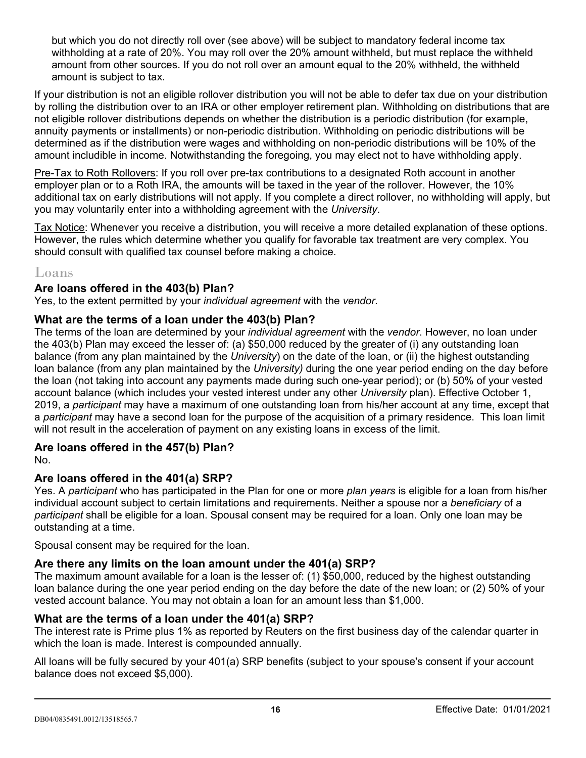but which you do not directly roll over (see above) will be subject to mandatory federal income tax withholding at a rate of 20%. You may roll over the 20% amount withheld, but must replace the withheld amount from other sources. If you do not roll over an amount equal to the 20% withheld, the withheld amount is subject to tax.

If your distribution is not an eligible rollover distribution you will not be able to defer tax due on your distribution by rolling the distribution over to an IRA or other employer retirement plan. Withholding on distributions that are not eligible rollover distributions depends on whether the distribution is a periodic distribution (for example, annuity payments or installments) or non-periodic distribution. Withholding on periodic distributions will be determined as if the distribution were wages and withholding on non-periodic distributions will be 10% of the amount includible in income. Notwithstanding the foregoing, you may elect not to have withholding apply.

Pre-Tax to Roth Rollovers: If you roll over pre-tax contributions to a designated Roth account in another employer plan or to a Roth IRA, the amounts will be taxed in the year of the rollover. However, the 10% additional tax on early distributions will not apply. If you complete a direct rollover, no withholding will apply, but you may voluntarily enter into a withholding agreement with the *University*.

Tax Notice: Whenever you receive a distribution, you will receive a more detailed explanation of these options. However, the rules which determine whether you qualify for favorable tax treatment are very complex. You should consult with qualified tax counsel before making a choice.

# Loans

## **Are loans offered in the 403(b) Plan?**

Yes, to the extent permitted by your *individual agreement* with the *vendor*.

### **What are the terms of a loan under the 403(b) Plan?**

The terms of the loan are determined by your *individual agreement* with the *vendor*. However, no loan under the 403(b) Plan may exceed the lesser of: (a) \$50,000 reduced by the greater of (i) any outstanding loan balance (from any plan maintained by the *University*) on the date of the loan, or (ii) the highest outstanding loan balance (from any plan maintained by the *University)* during the one year period ending on the day before the loan (not taking into account any payments made during such one-year period); or (b) 50% of your vested account balance (which includes your vested interest under any other *University* plan). Effective October 1, 2019, a *participant* may have a maximum of one outstanding loan from his/her account at any time, except that a *participant* may have a second loan for the purpose of the acquisition of a primary residence. This loan limit will not result in the acceleration of payment on any existing loans in excess of the limit.

### **Are loans offered in the 457(b) Plan?**

No.

## **Are loans offered in the 401(a) SRP?**

Yes. A *participant* who has participated in the Plan for one or more *plan years* is eligible for a loan from his/her individual account subject to certain limitations and requirements. Neither a spouse nor a *beneficiary* of a *participant* shall be eligible for a loan. Spousal consent may be required for a loan. Only one loan may be outstanding at a time.

Spousal consent may be required for the loan.

## **Are there any limits on the loan amount under the 401(a) SRP?**

The maximum amount available for a loan is the lesser of: (1) \$50,000, reduced by the highest outstanding loan balance during the one year period ending on the day before the date of the new loan; or (2) 50% of your vested account balance. You may not obtain a loan for an amount less than \$1,000.

## **What are the terms of a loan under the 401(a) SRP?**

The interest rate is Prime plus 1% as reported by Reuters on the first business day of the calendar quarter in which the loan is made. Interest is compounded annually.

All loans will be fully secured by your 401(a) SRP benefits (subject to your spouse's consent if your account balance does not exceed \$5,000).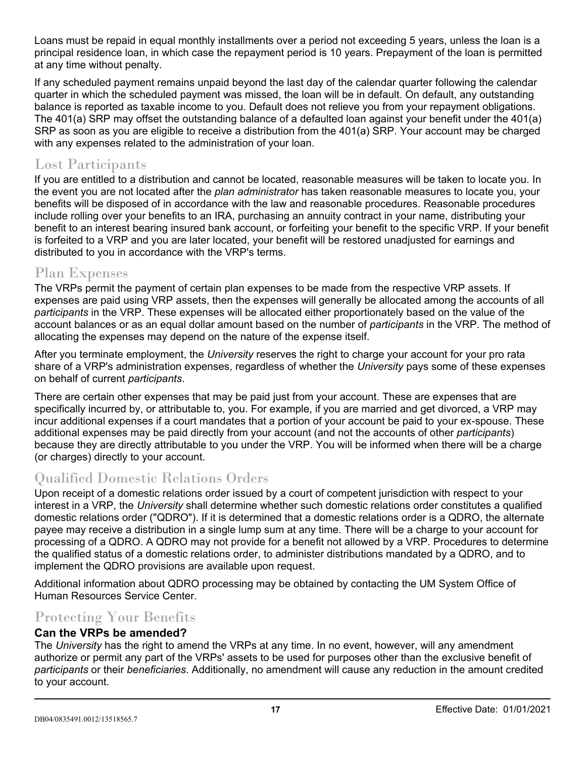Loans must be repaid in equal monthly installments over a period not exceeding 5 years, unless the loan is a principal residence loan, in which case the repayment period is 10 years. Prepayment of the loan is permitted at any time without penalty.

If any scheduled payment remains unpaid beyond the last day of the calendar quarter following the calendar quarter in which the scheduled payment was missed, the loan will be in default. On default, any outstanding balance is reported as taxable income to you. Default does not relieve you from your repayment obligations. The 401(a) SRP may offset the outstanding balance of a defaulted loan against your benefit under the 401(a) SRP as soon as you are eligible to receive a distribution from the 401(a) SRP. Your account may be charged with any expenses related to the administration of your loan.

# Lost Participants

If you are entitled to a distribution and cannot be located, reasonable measures will be taken to locate you. In the event you are not located after the *plan administrator* has taken reasonable measures to locate you, your benefits will be disposed of in accordance with the law and reasonable procedures. Reasonable procedures include rolling over your benefits to an IRA, purchasing an annuity contract in your name, distributing your benefit to an interest bearing insured bank account, or forfeiting your benefit to the specific VRP. If your benefit is forfeited to a VRP and you are later located, your benefit will be restored unadjusted for earnings and distributed to you in accordance with the VRP's terms.

# Plan Expenses

The VRPs permit the payment of certain plan expenses to be made from the respective VRP assets. If expenses are paid using VRP assets, then the expenses will generally be allocated among the accounts of all *participants* in the VRP. These expenses will be allocated either proportionately based on the value of the account balances or as an equal dollar amount based on the number of *participants* in the VRP. The method of allocating the expenses may depend on the nature of the expense itself.

After you terminate employment, the *University* reserves the right to charge your account for your pro rata share of a VRP's administration expenses, regardless of whether the *University* pays some of these expenses on behalf of current *participants*.

There are certain other expenses that may be paid just from your account. These are expenses that are specifically incurred by, or attributable to, you. For example, if you are married and get divorced, a VRP may incur additional expenses if a court mandates that a portion of your account be paid to your ex-spouse. These additional expenses may be paid directly from your account (and not the accounts of other *participants*) because they are directly attributable to you under the VRP. You will be informed when there will be a charge (or charges) directly to your account.

# Qualified Domestic Relations Orders

Upon receipt of a domestic relations order issued by a court of competent jurisdiction with respect to your interest in a VRP, the *University* shall determine whether such domestic relations order constitutes a qualified domestic relations order ("QDRO"). If it is determined that a domestic relations order is a QDRO, the alternate payee may receive a distribution in a single lump sum at any time. There will be a charge to your account for processing of a QDRO. A QDRO may not provide for a benefit not allowed by a VRP. Procedures to determine the qualified status of a domestic relations order, to administer distributions mandated by a QDRO, and to implement the QDRO provisions are available upon request.

Additional information about QDRO processing may be obtained by contacting the UM System Office of Human Resources Service Center.

# Protecting Your Benefits

### **Can the VRPs be amended?**

The *University* has the right to amend the VRPs at any time. In no event, however, will any amendment authorize or permit any part of the VRPs' assets to be used for purposes other than the exclusive benefit of *participants* or their *beneficiaries*. Additionally, no amendment will cause any reduction in the amount credited to your account.